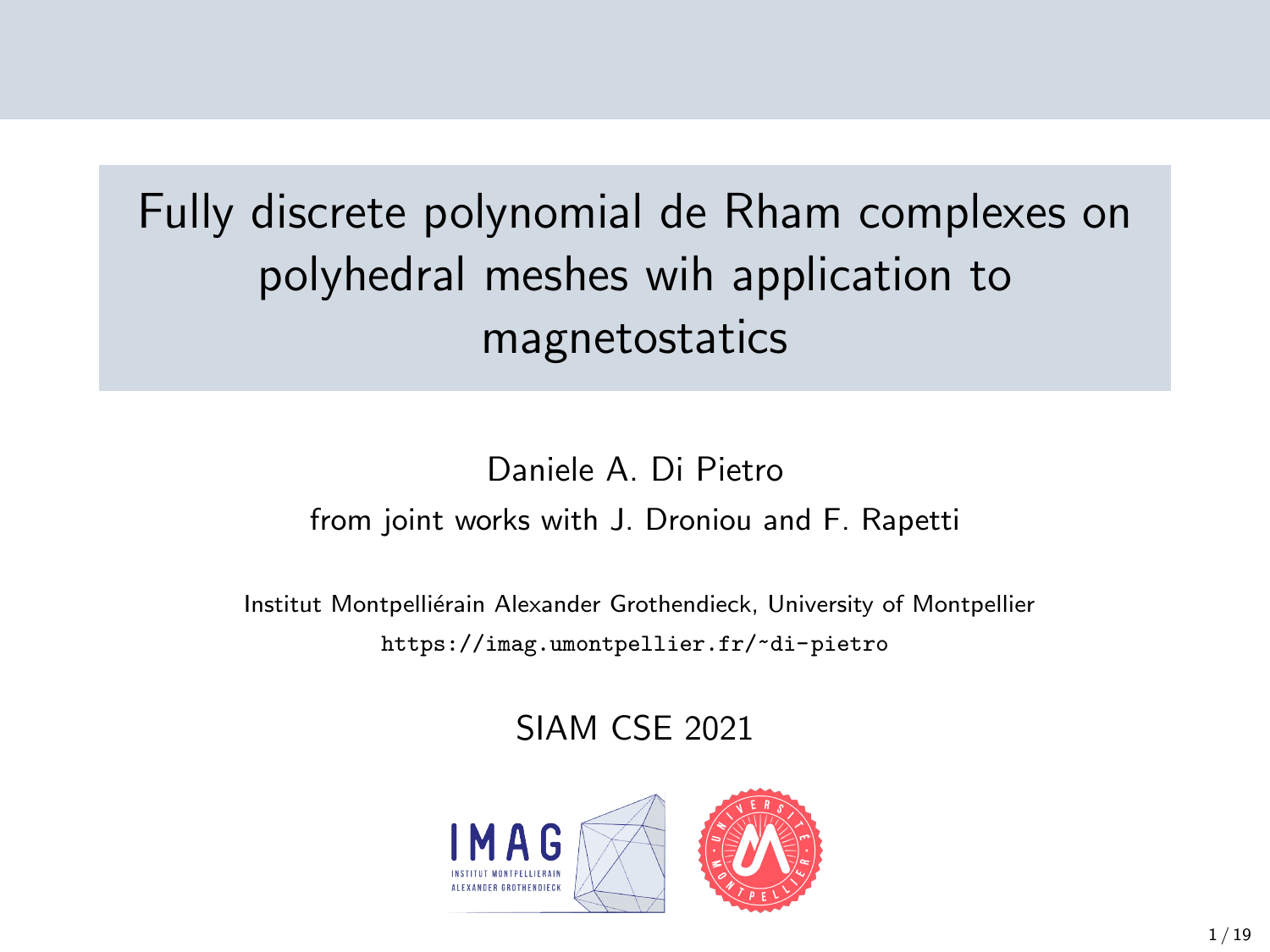# Fully discrete polynomial de Rham complexes on polyhedral meshes wih application to magnetostatics

#### Daniele A. Di Pietro from joint works with J. Droniou and F. Rapetti

Institut Montpelliérain Alexander Grothendieck, University of Montpellier <https://imag.umontpellier.fr/~di-pietro>

#### SIAM CSE 2021

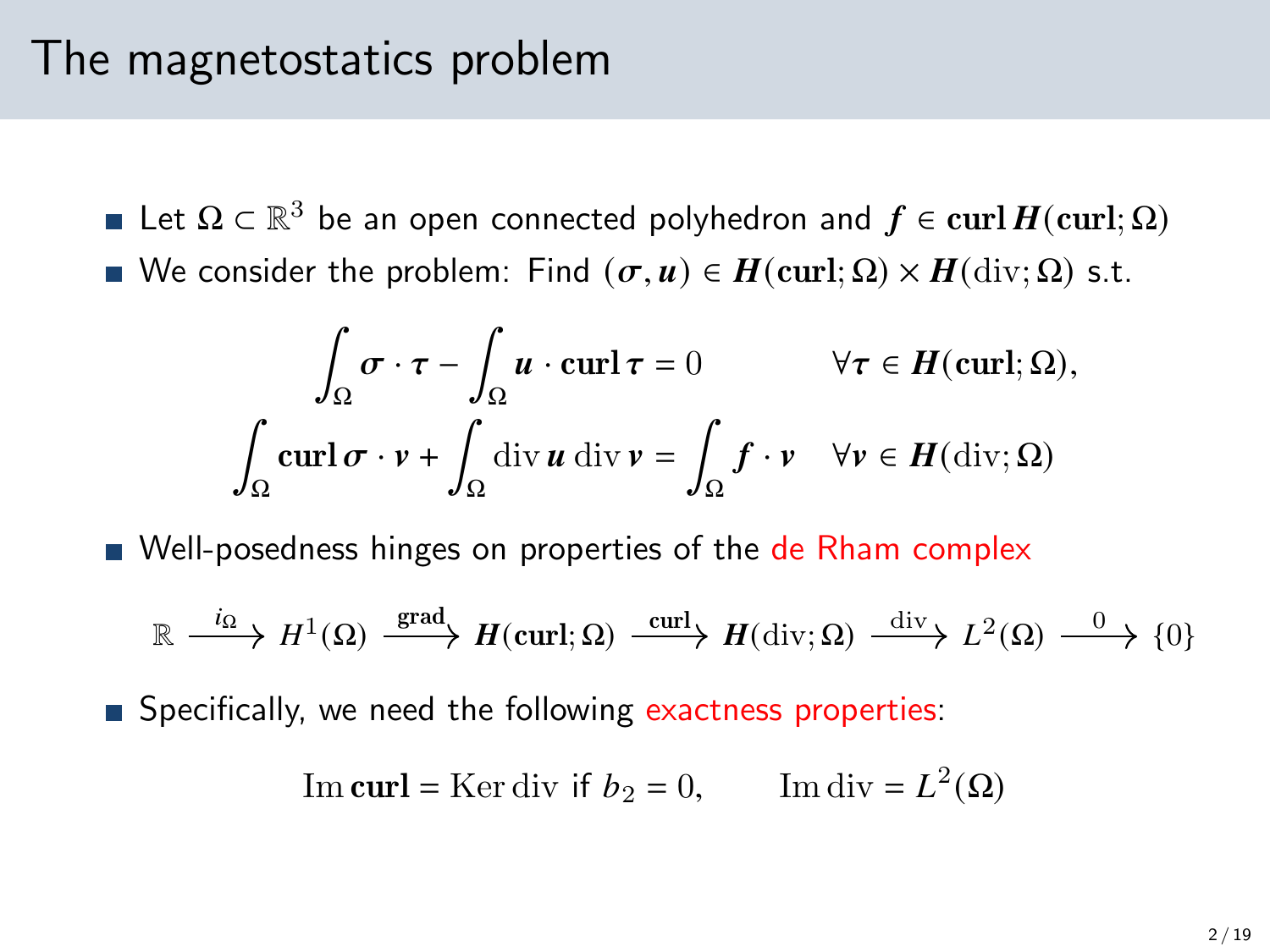#### The magnetostatics problem

- Let  $\Omega \subset \mathbb{R}^3$  be an open connected polyhedron and  $f \in {\rm curl}\, H({\rm curl};\Omega)$
- We consider the problem: Find  $(\sigma, u) \in H(\text{curl}; \Omega) \times H(\text{div}; \Omega)$  s.t.

$$
\int_{\Omega} \sigma \cdot \tau - \int_{\Omega} u \cdot \operatorname{curl} \tau = 0 \qquad \forall \tau \in H(\operatorname{curl}; \Omega),
$$

$$
\int_{\Omega} \operatorname{curl} \sigma \cdot v + \int_{\Omega} \operatorname{div} u \operatorname{div} v = \int_{\Omega} f \cdot v \quad \forall v \in H(\operatorname{div}; \Omega)
$$

Well-posedness hinges on properties of the de Rham complex

$$
\mathbb{R} \xrightarrow{i_{\Omega}} H^{1}(\Omega) \xrightarrow{\text{grad}} H(\text{curl};\Omega) \xrightarrow{\text{curl}} H(\text{div};\Omega) \xrightarrow{\text{div}} L^{2}(\Omega) \xrightarrow{0} \{0\}
$$

**Specifically, we need the following exactness properties:** 

Im curl = Ker div if 
$$
b_2 = 0
$$
, Im div =  $L^2(\Omega)$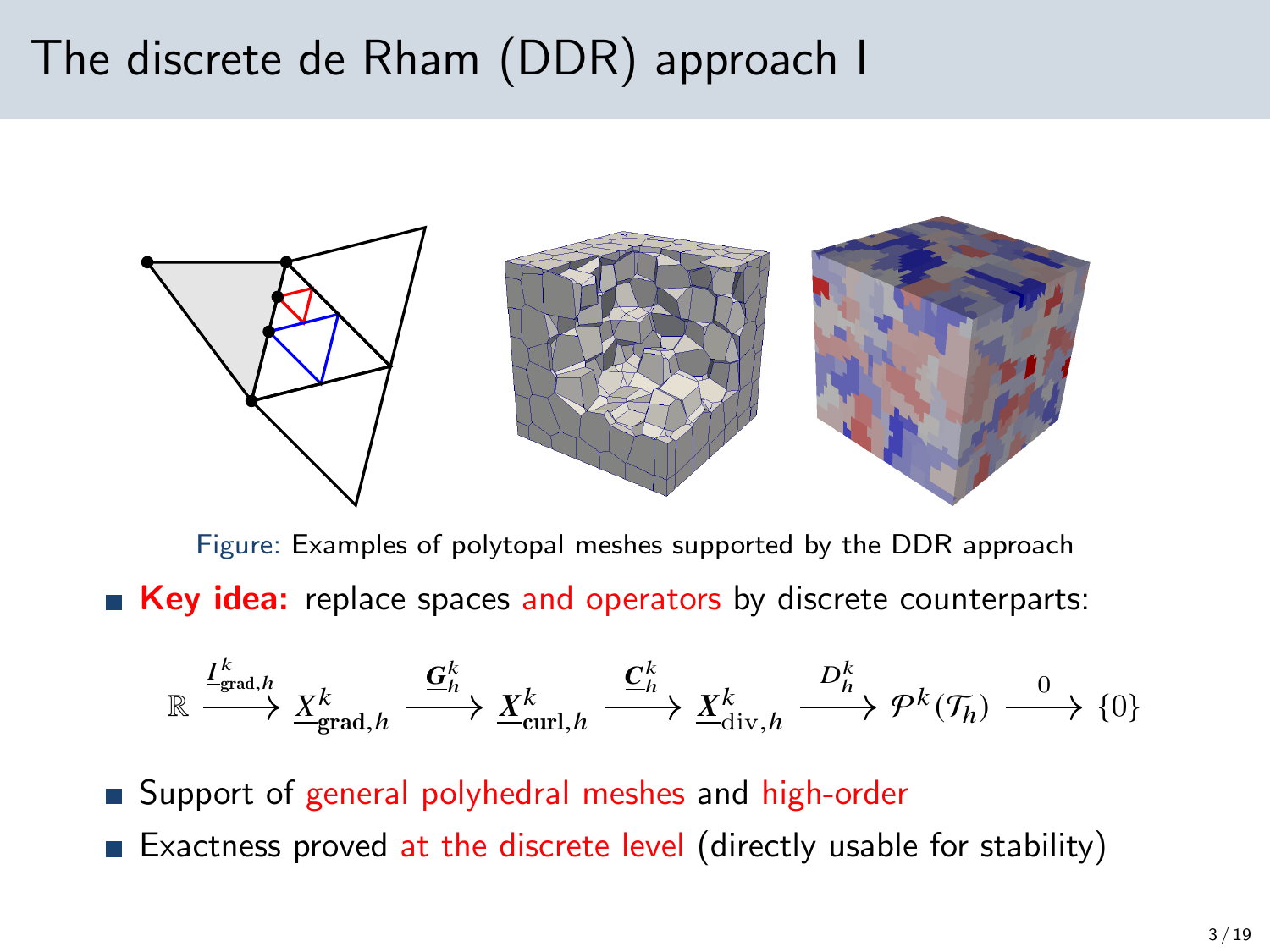### The discrete de Rham (DDR) approach I



Figure: Examples of polytopal meshes supported by the DDR approach Key idea: replace spaces and operators by discrete counterparts:

$$
\mathbb{R} \xrightarrow{I^k_{\text{grad},h}} \underline{X^k_{\text{grad},h}} \xrightarrow{\underline{\mathbf{G}}^k_h} \underline{X^k_{\text{curl},h}} \xrightarrow{\underline{\mathbf{C}}^k_h} \underline{X^k_{\text{div},h}} \xrightarrow{D^k_h} \mathcal{P}^k(\mathcal{T}_h) \xrightarrow{0} \{0\}
$$

■ Support of general polyhedral meshes and high-order

Exactness proved at the discrete level (directly usable for stability)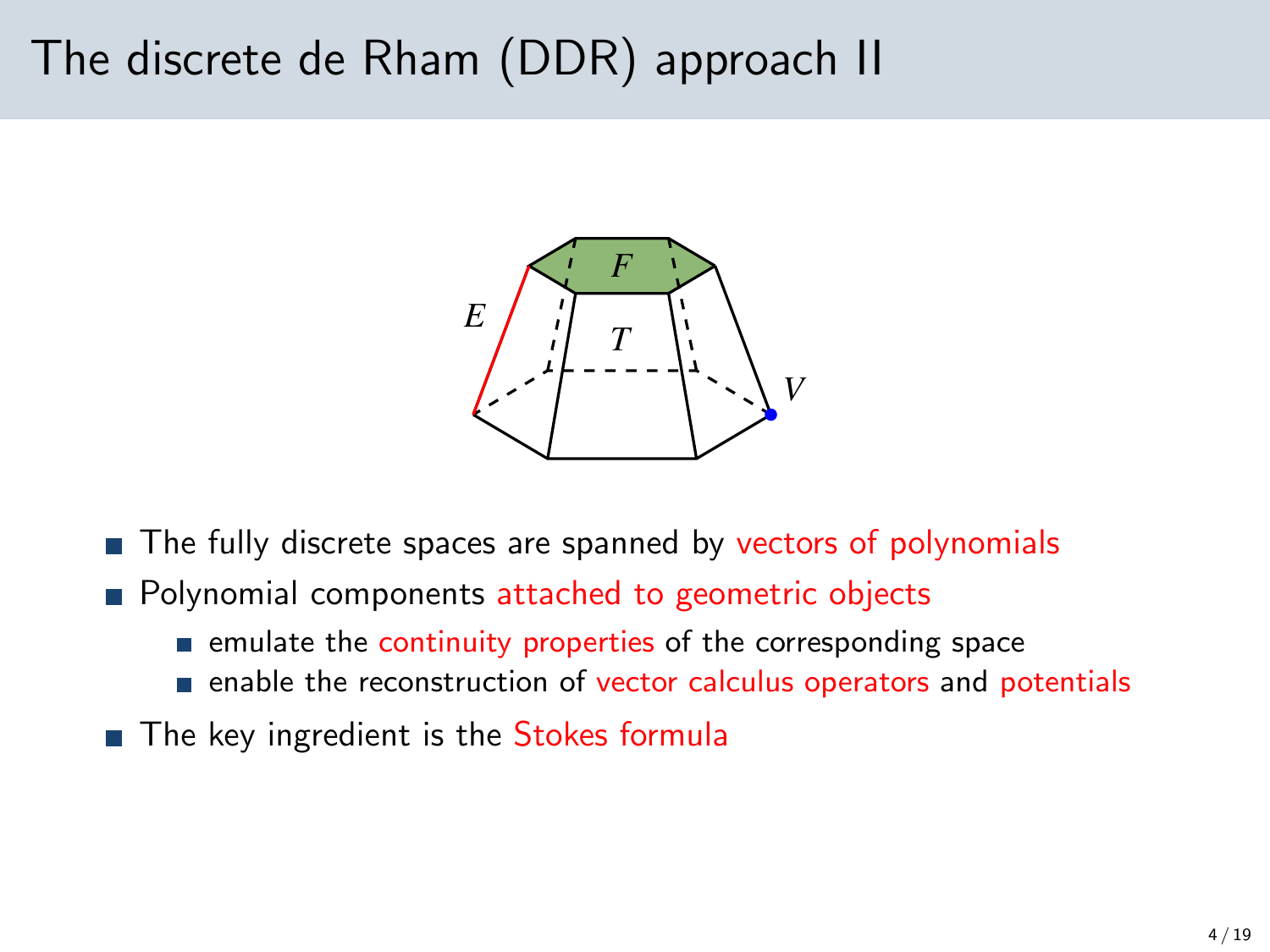### The discrete de Rham (DDR) approach II



- The fully discrete spaces are spanned by vectors of polynomials
- **Polynomial components attached to geometric objects** 
	- $\blacksquare$  emulate the continuity properties of the corresponding space
	- enable the reconstruction of vector calculus operators and potentials
- The key ingredient is the Stokes formula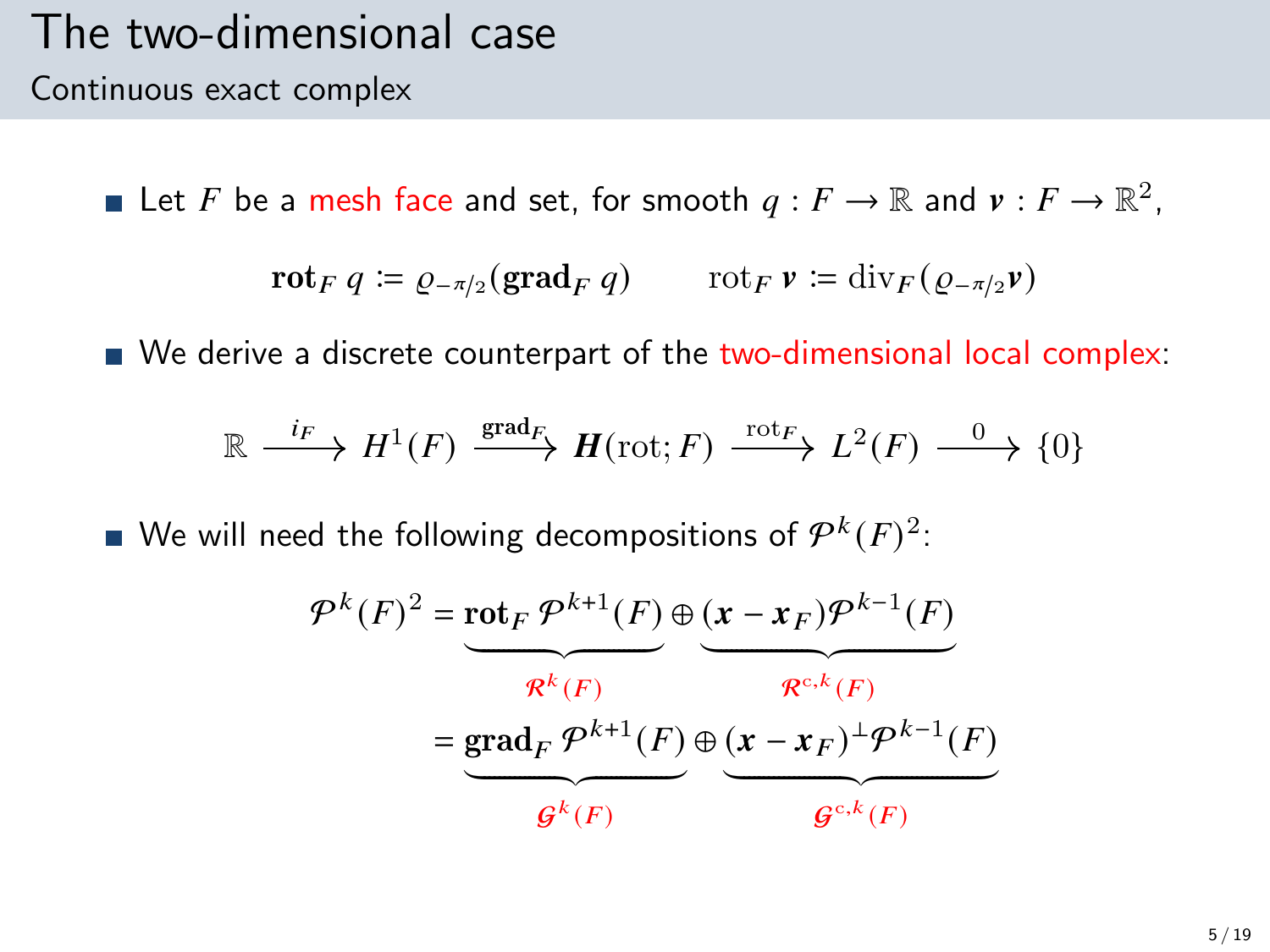#### The two-dimensional case Continuous exact complex

Let F be a mesh face and set, for smooth  $q: F \to \mathbb{R}$  and  $v: F \to \mathbb{R}^2$ ,

$$
\mathbf{rot}_F q \coloneqq \varrho_{-\pi/2}(\mathbf{grad}_F q) \qquad \text{rot}_F \, \mathbf{v} \coloneqq \mathrm{div}_F (\varrho_{-\pi/2} \mathbf{v})
$$

■ We derive a discrete counterpart of the two-dimensional local complex:

$$
\mathbb{R} \xrightarrow{i_F} H^1(F) \xrightarrow{\text{grad}_F} H(\text{rot}; F) \xrightarrow{\text{rot}_F} L^2(F) \xrightarrow{0} \{0\}
$$

We will need the following decompositions of  $\mathcal{P}^k(F)^2$ :

$$
\mathcal{P}^{k}(F)^{2} = \underbrace{\text{rot}_{F} \mathcal{P}^{k+1}(F)}_{\mathcal{R}^{k}(F)} \oplus \underbrace{(\mathbf{x} - \mathbf{x}_{F}) \mathcal{P}^{k-1}(F)}_{\mathcal{R}^{c,k}(F)}
$$
\n
$$
= \underbrace{\text{grad}_{F} \mathcal{P}^{k+1}(F)}_{\mathcal{G}^{k}(F)} \oplus \underbrace{(\mathbf{x} - \mathbf{x}_{F})^{\perp} \mathcal{P}^{k-1}(F)}_{\mathcal{G}^{c,k}(F)}
$$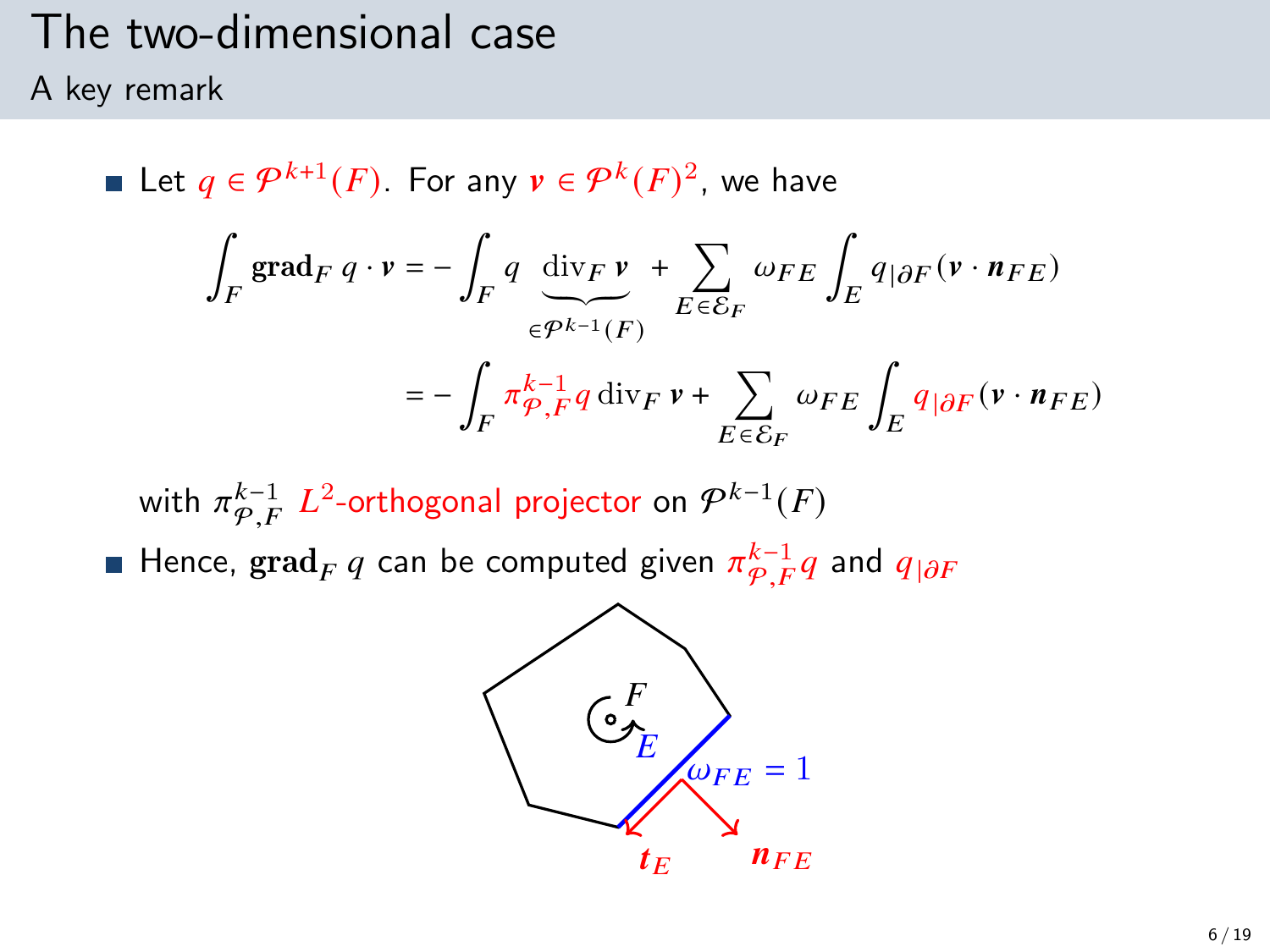# The two-dimensional case

A key remark

Let  $q \in \mathcal{P}^{k+1}(F)$ . For any  $v \in \mathcal{P}^k(F)^2$ , we have ∫  $\int\limits_F\, \mathrm{grad}_F\ q\cdot v = -\, \int\,$  $\int_F q \, \text{div}_F v$  $\widetilde{\epsilon^{p^{k-1}}(F)}$ + Õ  $E\overline{\epsilon}\overline{\mathcal{E}}_F$  $\omega_{FE}\int_E q_{|\partial F}(\mathbf{v}\cdot\mathbf{n}_{FE})$  $=-$  /  $\int_{F} \pi \frac{k-1}{\varphi} q \, \mathrm{div}_F \, \nu + \sum_{F \subset S}$  $E \overline{\epsilon} \overline{\mathcal{E}}_F$  $\omega_{FE} \int_E q_{|\partial F} (v \cdot n_{FE})$ 

with  $\pi^{k-1}_{\mathcal{P},F}$   $L^2$ -orthogonal projector on  $\mathcal{P}^{k-1}(F)$ Hence,  $\operatorname{grad}_F q$  can be computed given  $\pi^{k-1}_{\mathcal{P},F} q$  and  $q_{|\partial F}$ 

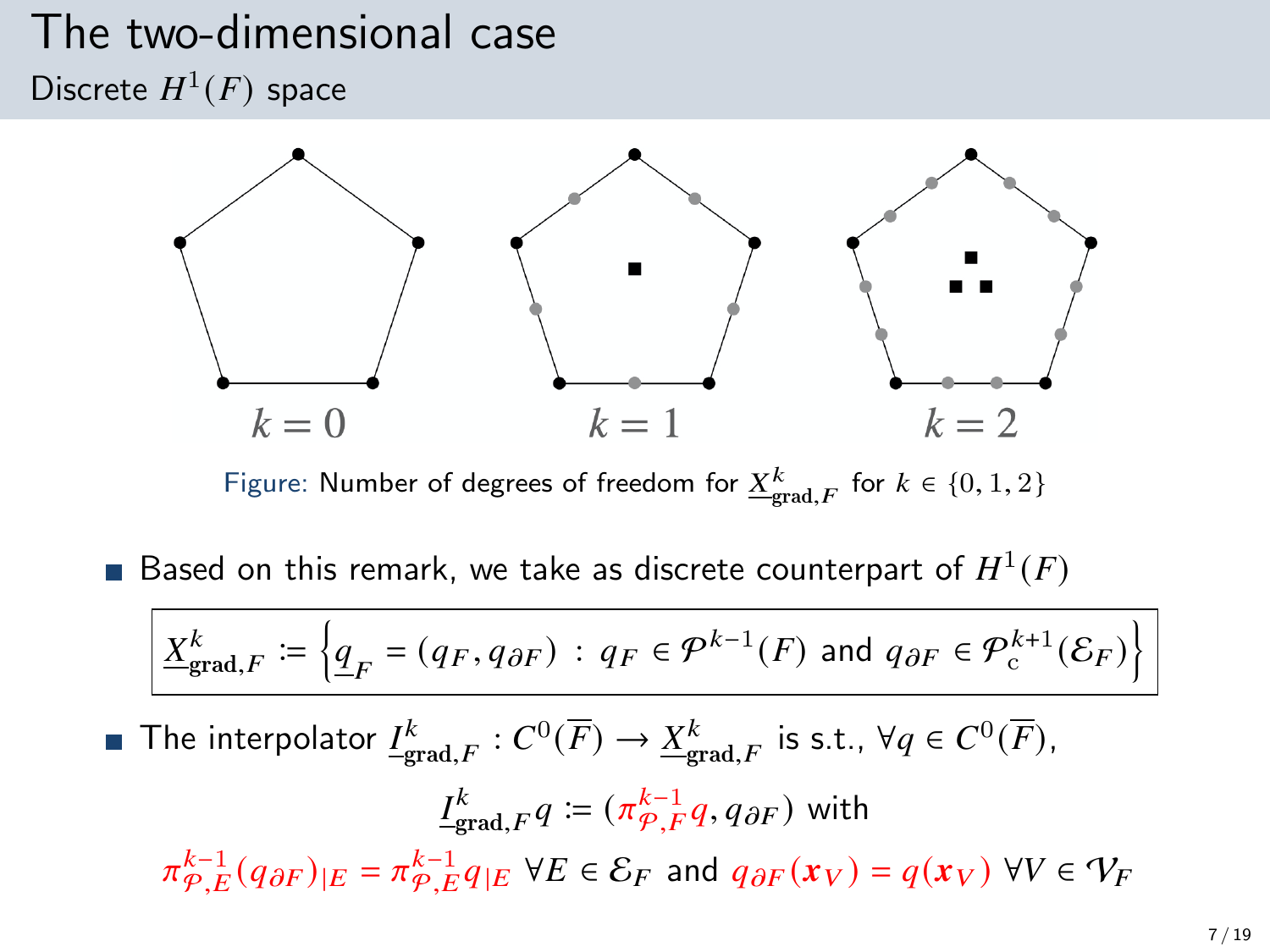#### The two-dimensional case Discrete  $H^1(F)$  space



Figure: Number of degrees of freedom for  $\underline{X}^k_{\text{grad},F}$  for  $k \in \{0,1,2\}$ 

Based on this remark, we take as discrete counterpart of  $H^1(F)$ 

$$
\underline{X}_{\text{grad},F}^k \coloneqq \left\{ \underline{q}_F = (q_F, q_{\partial F}) \, : \, q_F \in \mathcal{P}^{k-1}(F) \text{ and } q_{\partial F} \in \mathcal{P}^{k+1}_c(\mathcal{E}_F) \right\}
$$

The interpolator  $\underline{I^k_{\text{grad},F}}:C^0(\overline{F})\to \underline{X^k_{\text{grad},F}}$  is s.t.,  $\forall q\in C^0(\overline{F}),$ 

$$
\underline{I}_{\text{grad},F}^k q := (\pi_{\mathcal{P},F}^{k-1} q, q_{\partial F}) \text{ with}
$$
\n
$$
\pi_{\mathcal{P},E}^{k-1}(q_{\partial F})_{|E} = \pi_{\mathcal{P},E}^{k-1} q_{|E} \ \forall E \in \mathcal{E}_F \text{ and } q_{\partial F}(x_V) = q(x_V) \ \forall V \in \mathcal{V}_F
$$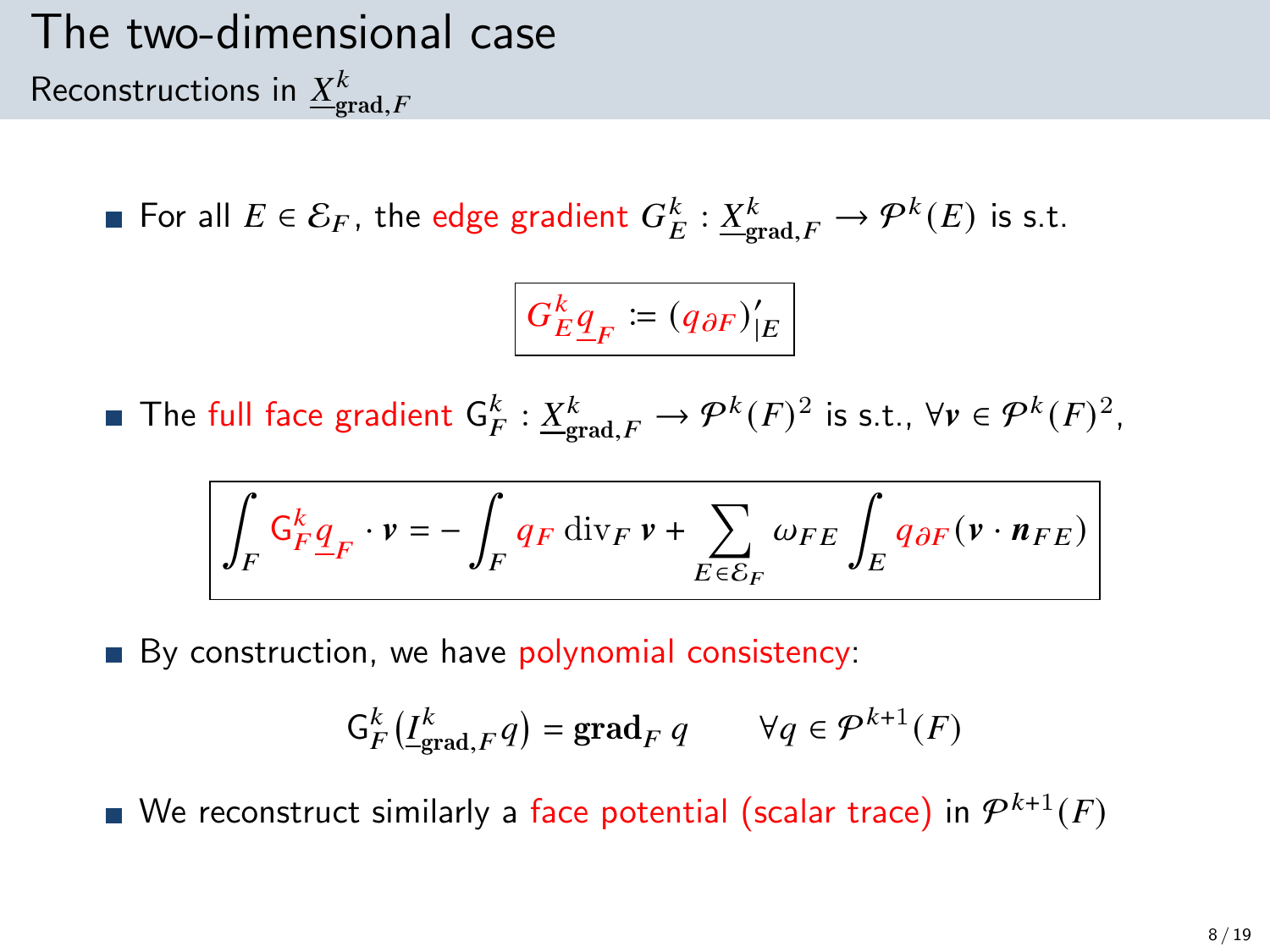## The two-dimensional case Reconstructions in  ${\underline X}^k_{\text{grad},F}$

For all  $E \in \mathcal{E}_F$ , the edge gradient  $G_E^k : \underline{X}_{\text{grad},F}^k \to \mathcal{P}^k(E)$  is s.t.

$$
G_E^k \underline{q}_F \coloneqq \left(q_{\partial F}\right)'_{|E}
$$

The full face gradient  $\mathsf{G}_{F}^k : \underline{X}_{\text{grad},F}^k \to \mathcal{P}^k(F)^2$  is s.t.,  $\forall v \in \mathcal{P}^k(F)^2$ ,

$$
\int_F \mathsf{G}^k_F \underline{q}_F \cdot v = - \int_F q_F \: \mathrm{div}_F \: v + \sum_{E \in \mathcal{E}_F} \omega_{FE} \int_E q_{\partial F} \big( v \cdot \textit{\textbf{n}}_{FE} \big)
$$

By construction, we have polynomial consistency:

$$
\mathsf{G}_{F}^{k}(\underline{I}_{\mathrm{grad},F}^{k}q)=\mathrm{grad}_{F} q \qquad \forall q \in \mathcal{P}^{k+1}(F)
$$

We reconstruct similarly a face potential (scalar trace) in  $\mathcal{P}^{k+1}(F)$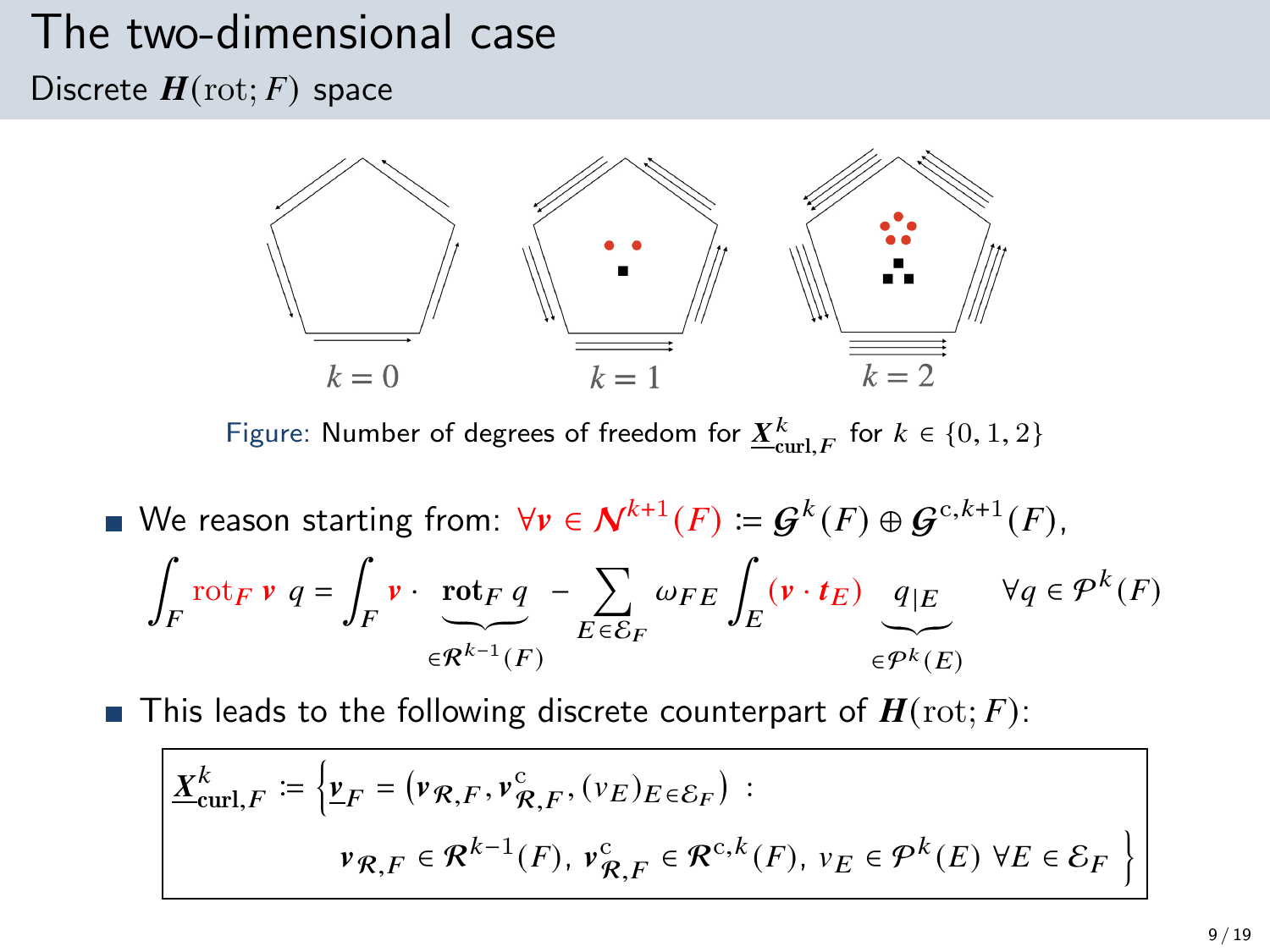# The two-dimensional case

Discrete  $H(\text{rot}; F)$  space



Figure: Number of degrees of freedom for  $\underline{X}^k_{\mathrm{curl},F}$  for  $k \in \{0,1,2\}$ 

We reason starting from:  $\forall v \in \mathcal{N}^{k+1}(F) \coloneqq \mathcal{G}^{k}(F) \oplus \mathcal{G}^{c, k+1}(F)$ , ∫  $\int_{F}$ rot $_{F}$   $\mathbf{v}$   $q = \int_{F}$  $\int_F \mathbf{v} \cdot \mathbf{rot}_F q$  $\widetilde{\in} \widetilde{\mathcal{R}^{k-1}(F)}$ − Õ  $E\overline{\epsilon}\overline{\mathcal{E}}_F$  $\omega_{FE}\int_E\left(\mathbf{v}\cdot\boldsymbol{t}_E\right)\left[q\right]\varepsilon$  $\widetilde{\epsilon^{pk}(E)}$  $\forall q \in \mathcal{P}^k(F)$ 

**This leads to the following discrete counterpart of**  $H(\text{rot}; F)$ **:** 

$$
\underline{X}_{\text{curl},F}^{k} := \left\{ \underline{v}_{F} = (\nu_{\mathcal{R},F}, \nu_{\mathcal{R},F}^{c}, (\nu_{E})_{E \in \mathcal{E}_{F}}) : \right.
$$
\n
$$
\nu_{\mathcal{R},F} \in \mathcal{R}^{k-1}(F), \nu_{\mathcal{R},F}^{c} \in \mathcal{R}^{c,k}(F), \nu_{E} \in \mathcal{P}^{k}(E) \,\forall E \in \mathcal{E}_{F} \right\}
$$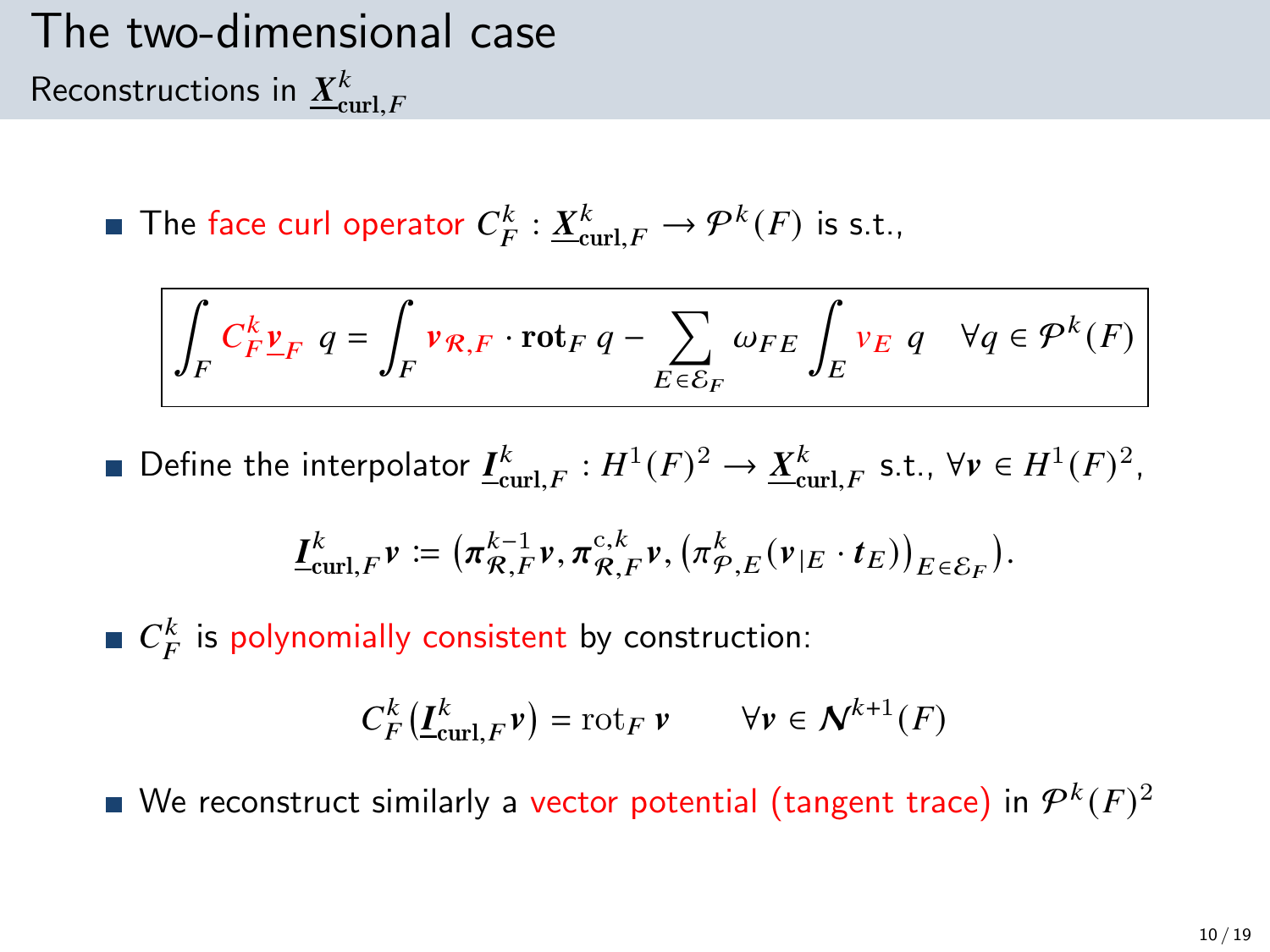## The two-dimensional case Reconstructions in  $\underline{X}^k_{\textnormal{curl},F}$

The face curl operator  $C_F^k : \underline{X}_{\text{curl},F}^k \to \mathcal{P}^k(F)$  is s.t.,

$$
\int_{F} C_{F}^{k} \underline{v}_{F} \ q = \int_{F} \nu_{\mathcal{R},F} \cdot \mathrm{rot}_{F} \ q - \sum_{E \in \mathcal{E}_{F}} \omega_{FE} \int_{E} \nu_{E} \ q \quad \forall q \in \mathcal{P}^{k}(F)
$$

Define the interpolator  $\underline{I}^k_{\text{curl},F} : H^1(F)^2 \to \underline{X}^k_{\text{curl},F}$  s.t.,  $\forall v \in H^1(F)^2$ ,

$$
\underline{I}^k_{\operatorname{curl},F}v\coloneqq\big(\pi^{{k-1}}_{\mathcal{R},F}v,\pi^{{\mathrm{c}},k}_{\mathcal{R},F}v,\big(\pi^k_{\mathcal{P},E}(v_{|E}\cdot t_E)\big)_{E\in\mathcal{E}_F}\big).
$$

 $C_F^k$  is polynomially consistent by construction:

$$
C_F^k(\underline{I}_{\mathrm{curl},F}^k \nu) = \mathrm{rot}_F \, \nu \qquad \forall \nu \in \mathcal{N}^{k+1}(F)
$$

We reconstruct similarly a vector potential (tangent trace) in  $\mathcal{P}^k(F)^2$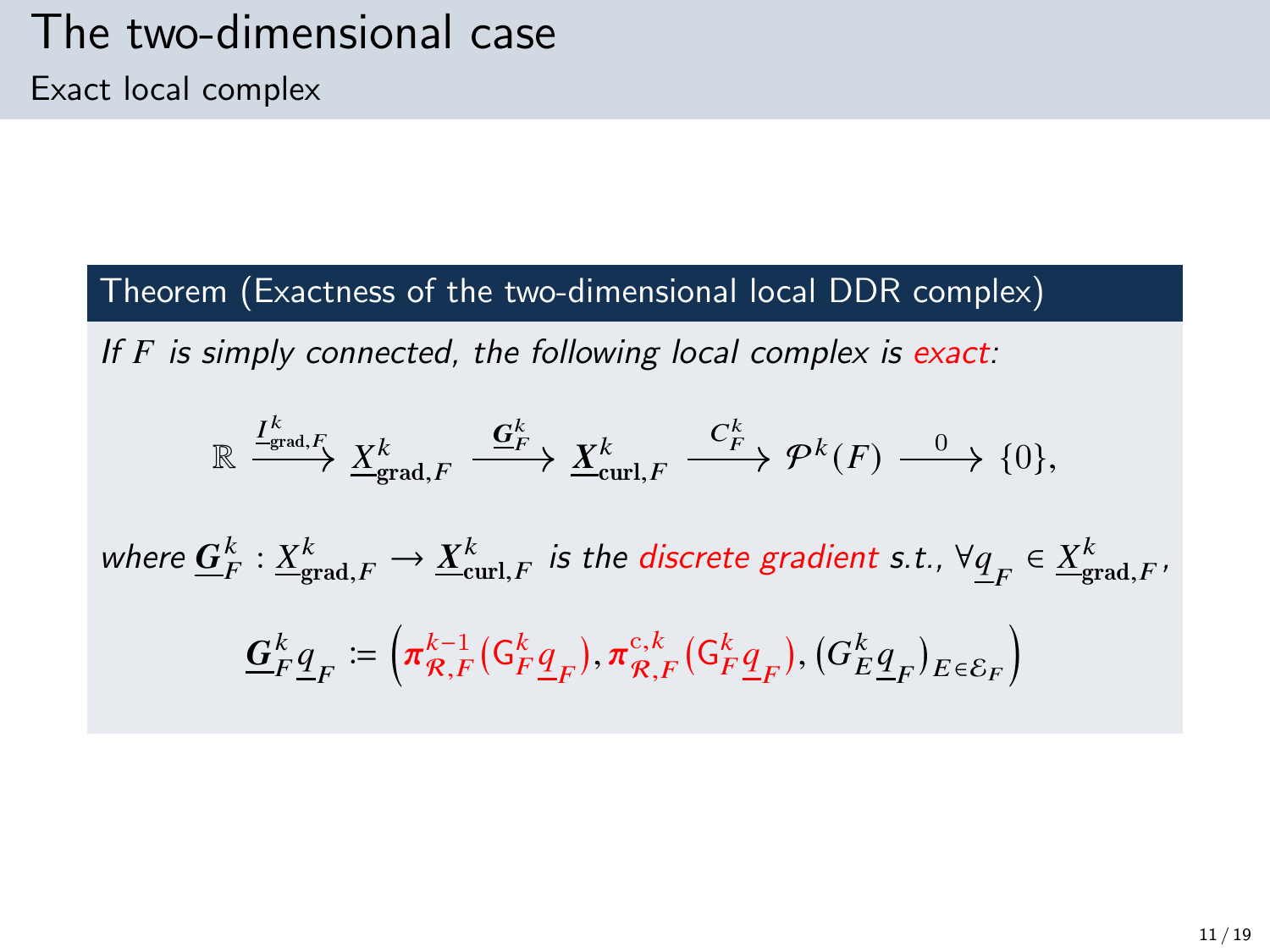Theorem (Exactness of the two-dimensional local DDR complex)

If  $F$  is simply connected, the following local complex is exact:

$$
\mathbb{R} \xrightarrow{\underline{I_{\text{grad},F}^k}} \underline{X_{\text{grad},F}^k} \xrightarrow{\underline{G_F^k}} \underline{X_{\text{curl},F}^k} \xrightarrow{C_F^k} \mathcal{P}^k(F) \xrightarrow{0} \{0\},
$$

where  $\underline{G}^k_F: \underline{X}^k_{\text{grad},F} \to \underline{X}^k_{\text{curl},F}$  is the discrete gradient s.t.,  $\forall \underline{q}_F \in \underline{X}^k_{\text{grad},F}$ ,

$$
\mathbf{\underline{G}}_F^k \underline{\underline{q}}_F \coloneqq \left( \pi_{\mathcal{R},F}^{k-1} ( \mathsf{G}_F^k \underline{\underline{q}}_F ), \pi_{\mathcal{R},F}^{c,k} ( \mathsf{G}_F^k \underline{\underline{q}}_F ), ( \mathsf{G}_E^k \underline{\underline{q}}_F )_{E \in \mathcal{E}_F} \right)
$$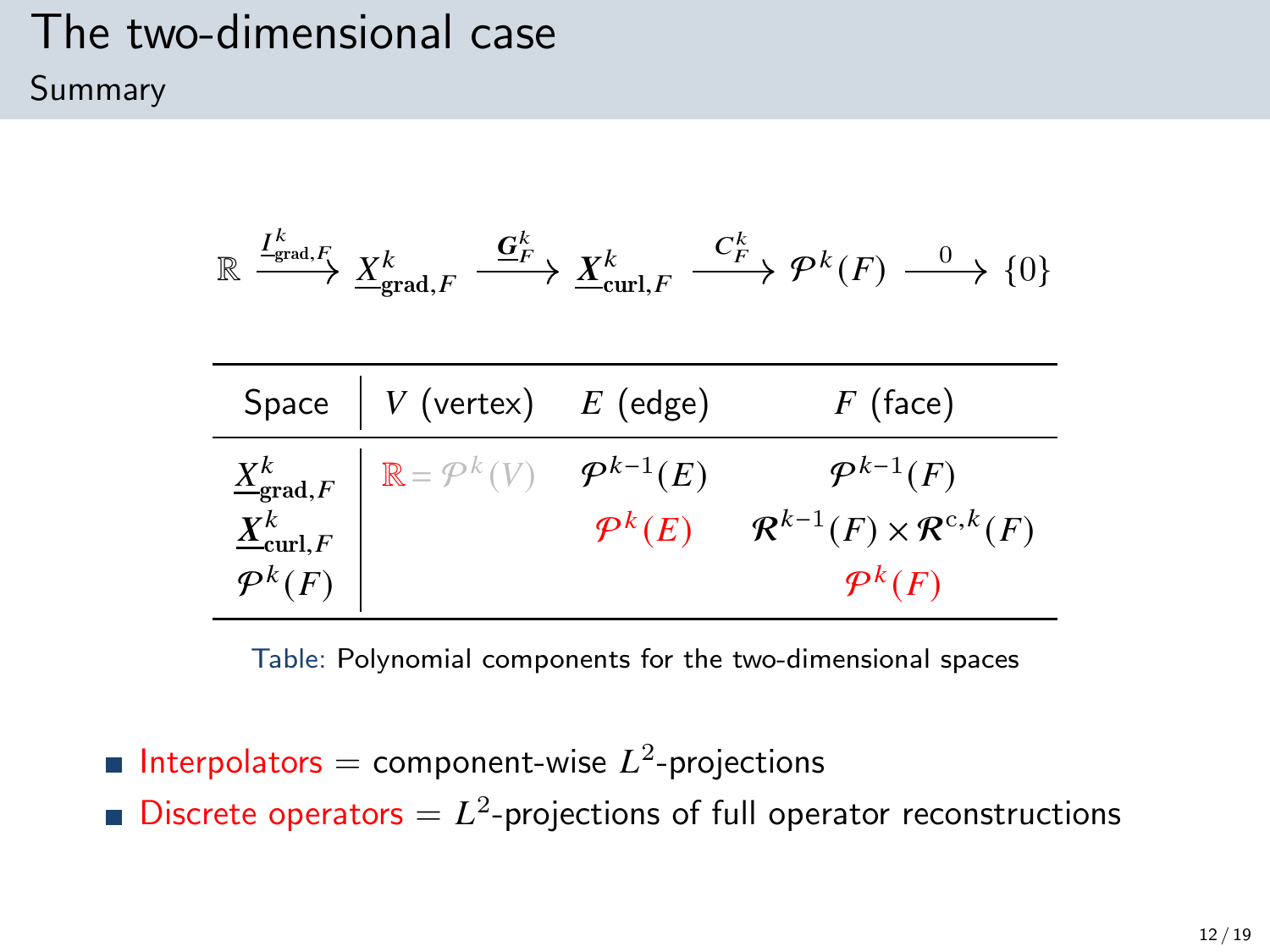#### The two-dimensional case Summary

$$
\mathbb{R}\xrightarrow{I_{\mathrm{grad},F}^k}\underline{X}_{\mathrm{grad},F}^k\xrightarrow{\underline{\mathbf{G}}_F^k}\underline{X}_{\mathrm{curl},F}^k\xrightarrow{C_F^k}\mathcal{P}^k(F)\xrightarrow{0}\{0\}
$$

| Space $\begin{array}{ c c c } \hline \end{array}$ V (vertex) $E$ (edge)                                                                                                            | $F$ (face)                                                                   |
|------------------------------------------------------------------------------------------------------------------------------------------------------------------------------------|------------------------------------------------------------------------------|
| $\begin{array}{c c} \underline{X}^k_{\mathsf{grad},F} & \mathbb{R} = \mathcal{P}^k(V) & \mathcal{P}^{k-1}(E) \ \underline{X}^k_{\mathsf{curl},F} & & \mathcal{P}^k(E) \end{array}$ | $\mathcal{P}^{k-1}(F)$<br>$\mathcal{R}^{k-1}(F) \times \mathcal{R}^{c,k}(F)$ |
|                                                                                                                                                                                    | $\mathcal{P}^k(F)$                                                           |

Table: Polynomial components for the two-dimensional spaces

Interpolators = component-wise  $L^2$ -projections Discrete operators  $= L<sup>2</sup>$ -projections of full operator reconstructions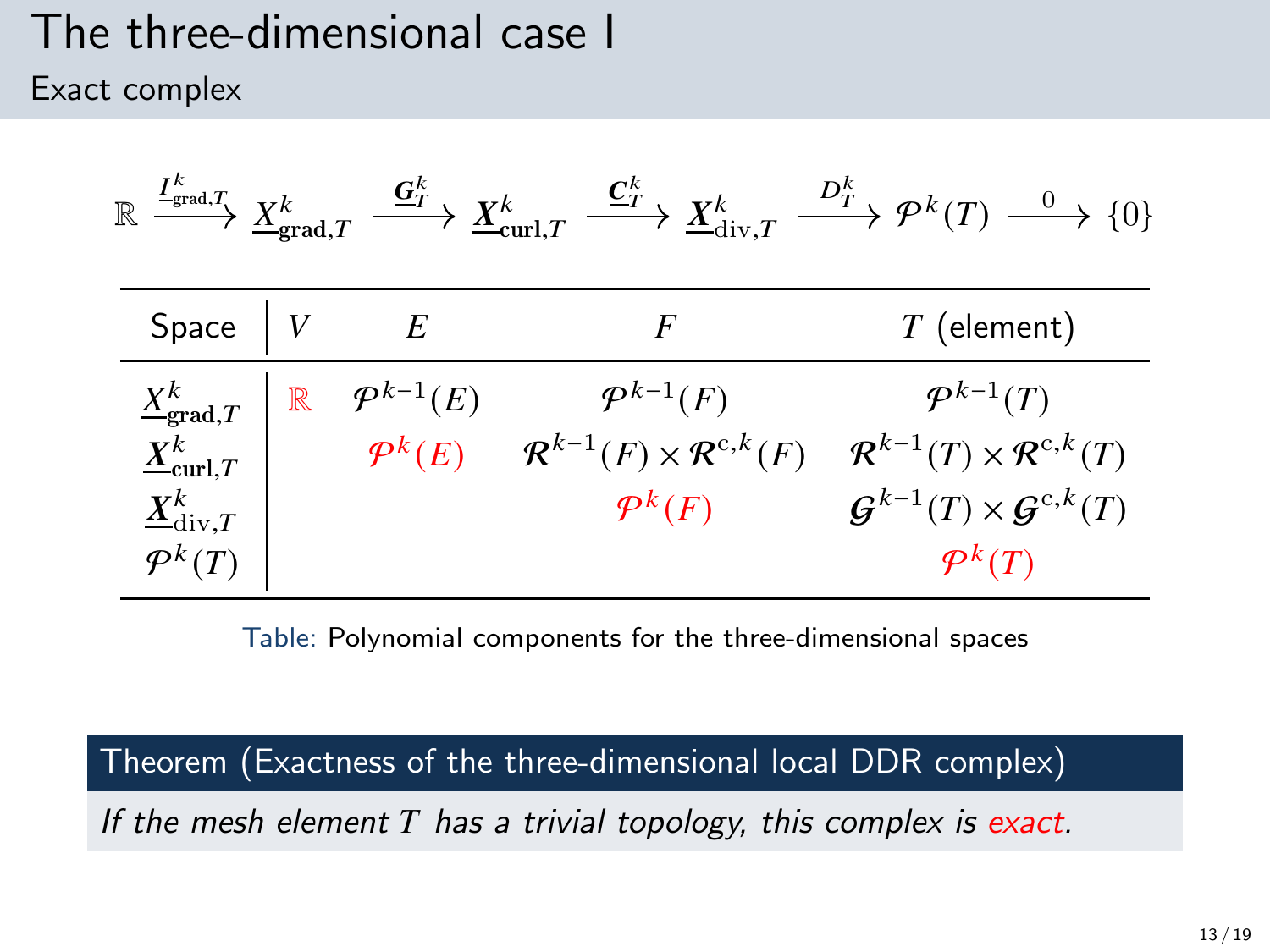#### The three-dimensional case I Exact complex

| $\colon \frac{I^K_{\text{grad},T}}{\longrightarrow} \frac{X^k_{\text{grad},T}}{\longrightarrow}$<br>$\mathbb R$ |             | $\stackrel{\mathbf{G}^k_{T}}{\longrightarrow} \underline{X}^k_{\mathrm{curl}, T}$ | $\stackrel{\underline{\mathbf{C}}_T^k}{\longrightarrow} \underline{X}^k_{\mathrm{div},T}$ | $\stackrel{D_T^k}{\longrightarrow} \mathcal{P}^k(T) \stackrel{0}{\longrightarrow} \{0\}$ |
|-----------------------------------------------------------------------------------------------------------------|-------------|-----------------------------------------------------------------------------------|-------------------------------------------------------------------------------------------|------------------------------------------------------------------------------------------|
| Space                                                                                                           |             | E                                                                                 | F                                                                                         | $T$ (element)                                                                            |
| $\underline{X}_{\text{grad},T}^k$                                                                               | $\mathbb R$ | $\mathcal{P}^{k-1}(E)$                                                            | $\mathcal{P}^{k-1}(F)$                                                                    | $\mathcal{P}^{k-1}(T)$                                                                   |
| $\underline{X}_{\mathrm{curl},T}^k$                                                                             |             | $\mathcal{P}^k(E)$                                                                | $\mathcal{R}^{k-1}(F) \times \mathcal{R}^{c,k}(F)$                                        | $\mathcal{R}^{k-1}(T)\times \mathcal{R}^{c,k}(T)$                                        |
| $\underline{X}^k_{\mathrm{div},T}$                                                                              |             |                                                                                   | $\mathcal{P}^k(F)$                                                                        | $\mathcal{G}^{k-1}(T)\times\mathcal{G}^{c,k}(T)$                                         |
| $\mathcal{P}^k(T)$                                                                                              |             |                                                                                   |                                                                                           | $\mathcal{P}^k(T)$                                                                       |

Table: Polynomial components for the three-dimensional spaces

Theorem (Exactness of the three-dimensional local DDR complex)

If the mesh element  $T$  has a trivial topology, this complex is exact.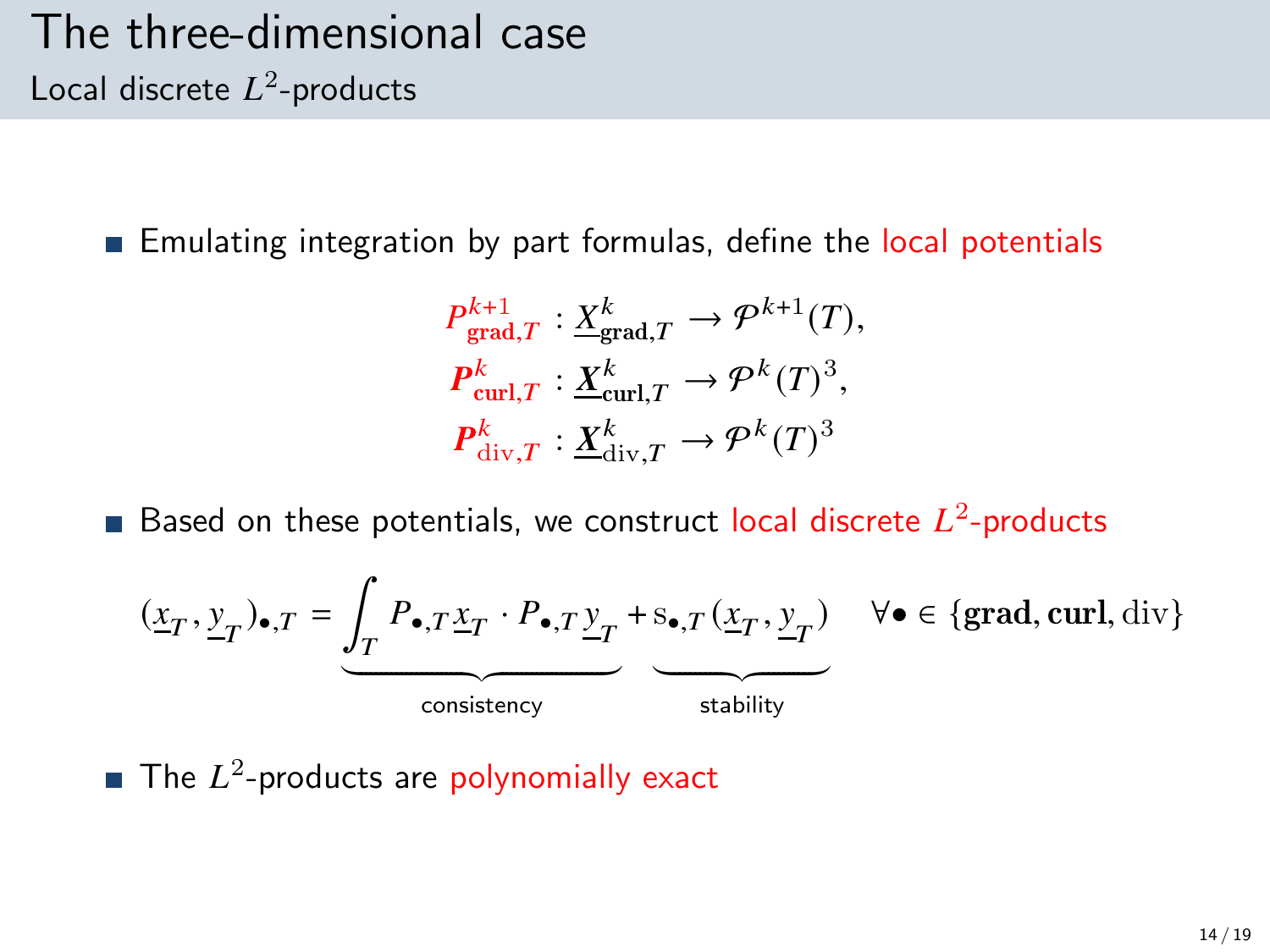#### The three-dimensional case Local discrete  $L^2$ -products

**Emulating integration by part formulas, define the local potentials** 

$$
P_{\text{grad},T}^{k+1} : \underline{X}_{\text{grad},T}^{k} \to \mathcal{P}^{k+1}(T),
$$
  

$$
P_{\text{curl},T}^{k} : \underline{X}_{\text{curl},T}^{k} \to \mathcal{P}^{k}(T)^{3},
$$
  

$$
P_{\text{div},T}^{k} : \underline{X}_{\text{div},T}^{k} \to \mathcal{P}^{k}(T)^{3}
$$

Based on these potentials, we construct local discrete  $L^2$ -products

$$
(\underline{x}_T, \underline{y}_T)_{\bullet, T} = \underbrace{\int_T P_{\bullet, T} \underline{x}_T \cdot P_{\bullet, T} \underline{y}_T}_{\text{consistency}} + \underbrace{\underline{s}_{\bullet, T} (\underline{x}_T, \underline{y}_T)}_{\text{stability}} \quad \forall \bullet \in \{\text{grad}, \text{curl}, \text{div}\}
$$

The  $L^2$ -products are polynomially exact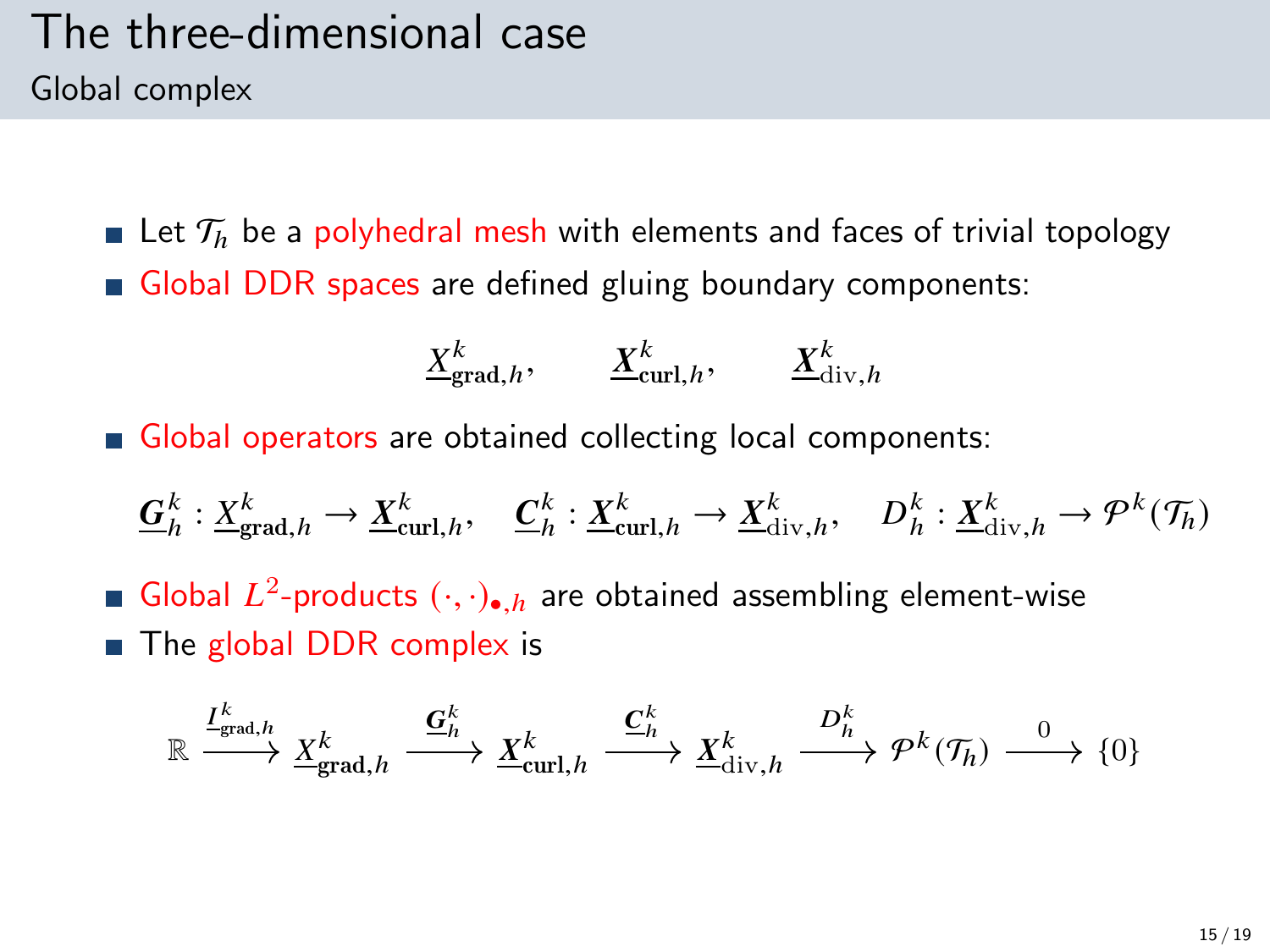#### The three-dimensional case Global complex

**Let**  $\mathcal{T}_h$  be a polyhedral mesh with elements and faces of trivial topology Global DDR spaces are defined gluing boundary components:

$$
\underline{X}_{\text{grad},h}^k, \qquad \underline{X}_{\text{curl},h}^k, \qquad \underline{X}_{\text{div},h}^k
$$

Global operators are obtained collecting local components:

$$
\underline{G}_h^k: \underline{X}_{\text{grad},h}^k \to \underline{X}_{\text{curl},h}^k, \quad \underline{C}_h^k: \underline{X}_{\text{curl},h}^k \to \underline{X}_{\text{div},h}^k, \quad D_h^k: \underline{X}_{\text{div},h}^k \to \mathcal{P}^k(\mathcal{T}_h)
$$

Global  $L^2$ -products  $(\cdot, \cdot)_{\bullet, h}$  are obtained assembling element-wise  $\blacksquare$  The global DDR complex is

$$
\mathbb{R} \xrightarrow{I^k_{\text{grad},h}} \underline{X}^k_{\text{grad},h} \xrightarrow{\underline{\mathbf{G}}^k_h} \underline{X}^k_{\text{curl},h} \xrightarrow{\underline{\mathbf{C}}^k_h} \underline{X}^k_{\text{div},h} \xrightarrow{D^k_h} \mathcal{P}^k(\mathcal{T}_h) \xrightarrow{0} \{0\}
$$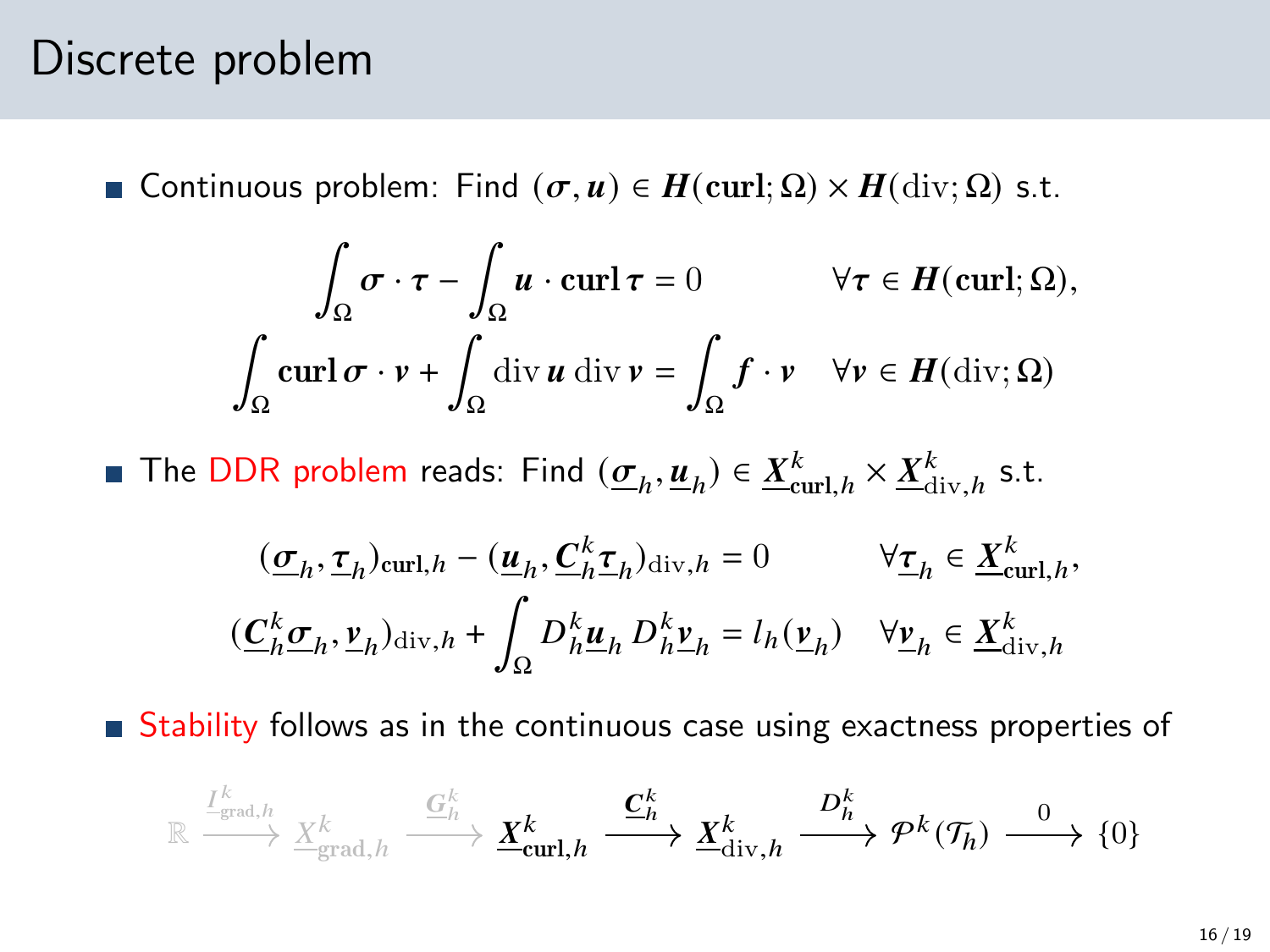#### Discrete problem

**■** Continuous problem: Find  $(σ, u) ∈ H$ (curl; Ω) ×  $H$ (div; Ω) s.t.

$$
\int_{\Omega} \sigma \cdot \tau - \int_{\Omega} u \cdot \operatorname{curl} \tau = 0 \qquad \forall \tau \in H(\operatorname{curl}; \Omega),
$$

$$
\int_{\Omega} \operatorname{curl} \sigma \cdot v + \int_{\Omega} \operatorname{div} u \operatorname{div} v = \int_{\Omega} f \cdot v \quad \forall v \in H(\operatorname{div}; \Omega)
$$

The DDR problem reads: Find  $(\underline{\sigma}_h, \underline{u}_h) \in \underline{X}_{\text{curl},h}^k \times \underline{X}_{\text{div},h}^k$  s.t.

$$
\begin{aligned} &\quad (\underline{\sigma}_h,\underline{\tau}_h)_{\mathrm{curl},h}-(\underline{u}_h,\underline{C}_h^k\underline{\tau}_h)_{\mathrm{div},h}=0 &&\forall \underline{\tau}_h\in \underline{X}^k_{\mathrm{curl},h},\\ &(\underline{C}_h^k\underline{\sigma}_h,\underline{\nu}_h)_{\mathrm{div},h}+\int_\Omega D_h^k\underline{u}_h\,D_h^k\underline{\nu}_h=l_h(\underline{\nu}_h) &&\forall \underline{\nu}_h\in \underline{X}^k_{\mathrm{div},h} \end{aligned}
$$

Stability follows as in the continuous case using exactness properties of

$$
\mathbb{R} \xrightarrow{\frac{I^k}{\text{grad},h}} \frac{X^k}{\underline{X}_{\text{grad},h}^k} \xrightarrow{\underline{G^k_h}} \underline{X}^k_{\text{curl},h} \xrightarrow{\underline{C^k_h}} \underline{X}^k_{\text{div},h} \xrightarrow{D^k_h} \mathcal{P}^k(\mathcal{T}_h) \xrightarrow{0} \{0\}
$$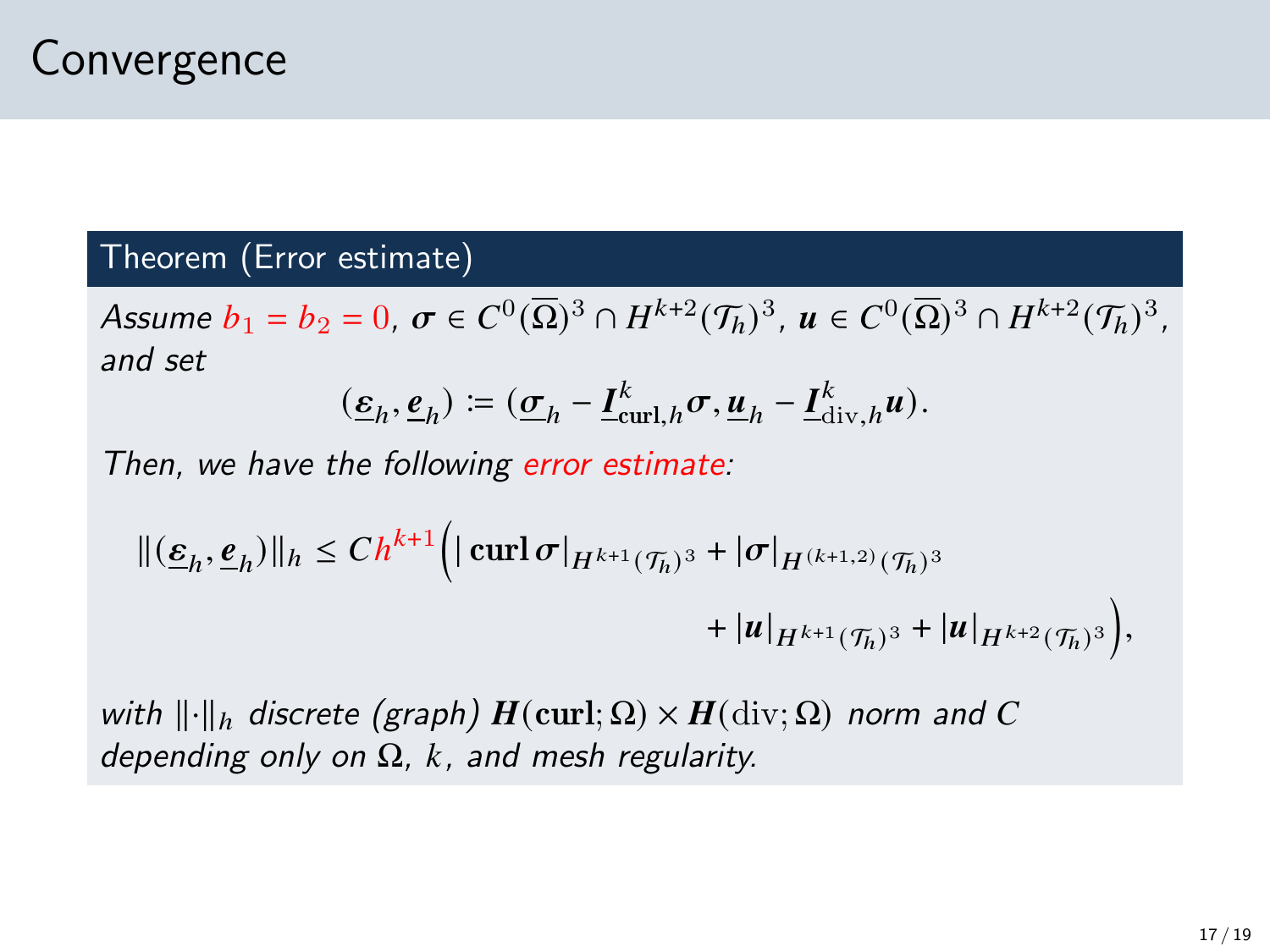#### Theorem (Error estimate)

Assume  $b_1 = b_2 = 0$ ,  $\sigma \in C^0(\overline{\Omega})^3 \cap H^{k+2}(\mathcal{T}_h)^3$ ,  $u \in C^0(\overline{\Omega})^3 \cap H^{k+2}(\mathcal{T}_h)^3$ , and set

$$
(\underline{\varepsilon}_h, \underline{\varepsilon}_h) \coloneqq (\underline{\sigma}_h - \underline{I}_{\operatorname{curl},h}^k \sigma, \underline{u}_h - \underline{I}_{\operatorname{div},h}^k u).
$$

Then, we have the following error estimate:

$$
\begin{aligned} ||(\underline{\varepsilon}_h,\underline{e}_h)||_h &\leq Ch^{k+1} \Big( |\operatorname{curl} \sigma|_{H^{k+1}(\mathcal{T}_h)^3} + |\sigma|_{H^{(k+1,2)}(\mathcal{T}_h)^3} \\ &\qquad + |u|_{H^{k+1}(\mathcal{T}_h)^3} + |u|_{H^{k+2}(\mathcal{T}_h)^3} \Big), \end{aligned}
$$

with  $\lVert \cdot \rVert_h$  discrete (graph)  $H(\text{curl}; \Omega) \times H(\text{div}; \Omega)$  norm and C depending only on  $\Omega$ , k, and mesh regularity.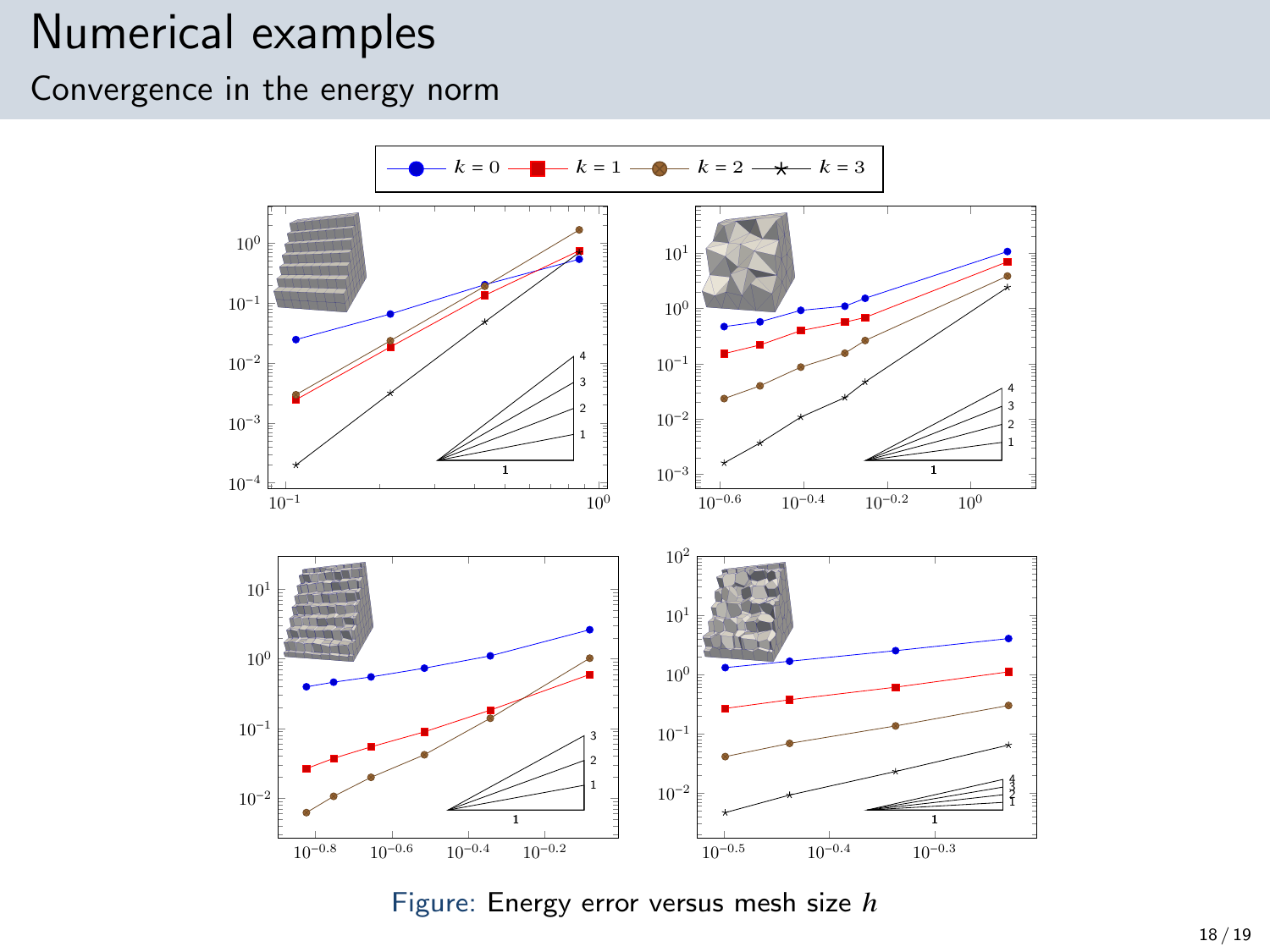#### Numerical examples

Convergence in the energy norm

<span id="page-17-0"></span>

Figure: Energy error versus mesh size  $h$